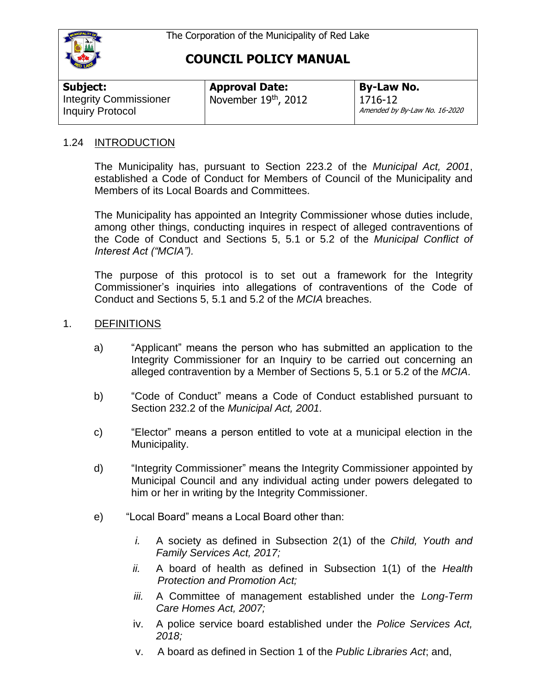

| Subject:                                                 | <b>Approval Date:</b>  | <b>By-Law No.</b>                        |
|----------------------------------------------------------|------------------------|------------------------------------------|
| <b>Integrity Commissioner</b><br><b>Inquiry Protocol</b> | November $19th$ , 2012 | 1716-12<br>Amended by By-Law No. 16-2020 |

### 1.24 INTRODUCTION

The Municipality has, pursuant to Section 223.2 of the *Municipal Act, 2001*, established a Code of Conduct for Members of Council of the Municipality and Members of its Local Boards and Committees.

The Municipality has appointed an Integrity Commissioner whose duties include, among other things, conducting inquires in respect of alleged contraventions of the Code of Conduct and Sections 5, 5.1 or 5.2 of the *Municipal Conflict of Interest Act ("MCIA").* 

The purpose of this protocol is to set out a framework for the Integrity Commissioner's inquiries into allegations of contraventions of the Code of Conduct and Sections 5, 5.1 and 5.2 of the *MCIA* breaches.

### 1. DEFINITIONS

- a) "Applicant" means the person who has submitted an application to the Integrity Commissioner for an Inquiry to be carried out concerning an alleged contravention by a Member of Sections 5, 5.1 or 5.2 of the *MCIA*.
- b) "Code of Conduct" means a Code of Conduct established pursuant to Section 232.2 of the *Municipal Act, 2001.*
- c) "Elector" means a person entitled to vote at a municipal election in the Municipality.
- d) "Integrity Commissioner" means the Integrity Commissioner appointed by Municipal Council and any individual acting under powers delegated to him or her in writing by the Integrity Commissioner.
- e) "Local Board" means a Local Board other than:
	- *i.* A society as defined in Subsection 2(1) of the *Child, Youth and Family Services Act, 2017;*
	- *ii.* A board of health as defined in Subsection 1(1) of the *Health Protection and Promotion Act;*
	- *iii.* A Committee of management established under the *Long-Term Care Homes Act, 2007;*
	- iv. A police service board established under the *Police Services Act, 2018;*
	- v. A board as defined in Section 1 of the *Public Libraries Act*; and,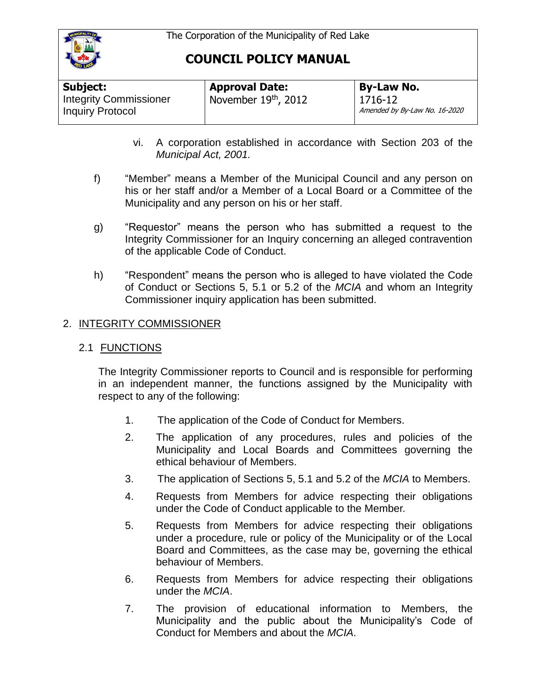

| <b>Subject:</b>                                          | <b>Approval Date:</b>  | <b>By-Law No.</b>                        |
|----------------------------------------------------------|------------------------|------------------------------------------|
| <b>Integrity Commissioner</b><br><b>Inquiry Protocol</b> | November $19th$ , 2012 | 1716-12<br>Amended by By-Law No. 16-2020 |

- vi. A corporation established in accordance with Section 203 of the *Municipal Act, 2001.*
- f) "Member" means a Member of the Municipal Council and any person on his or her staff and/or a Member of a Local Board or a Committee of the Municipality and any person on his or her staff.
- g) "Requestor" means the person who has submitted a request to the Integrity Commissioner for an Inquiry concerning an alleged contravention of the applicable Code of Conduct.
- h) "Respondent" means the person who is alleged to have violated the Code of Conduct or Sections 5, 5.1 or 5.2 of the *MCIA* and whom an Integrity Commissioner inquiry application has been submitted.

# 2. INTEGRITY COMMISSIONER

2.1 FUNCTIONS

The Integrity Commissioner reports to Council and is responsible for performing in an independent manner, the functions assigned by the Municipality with respect to any of the following:

- 1. The application of the Code of Conduct for Members.
- 2. The application of any procedures, rules and policies of the Municipality and Local Boards and Committees governing the ethical behaviour of Members.
- 3. The application of Sections 5, 5.1 and 5.2 of the *MCIA* to Members.
- 4. Requests from Members for advice respecting their obligations under the Code of Conduct applicable to the Member.
- 5. Requests from Members for advice respecting their obligations under a procedure, rule or policy of the Municipality or of the Local Board and Committees, as the case may be, governing the ethical behaviour of Members.
- 6. Requests from Members for advice respecting their obligations under the *MCIA*.
- 7. The provision of educational information to Members, the Municipality and the public about the Municipality's Code of Conduct for Members and about the *MCIA*.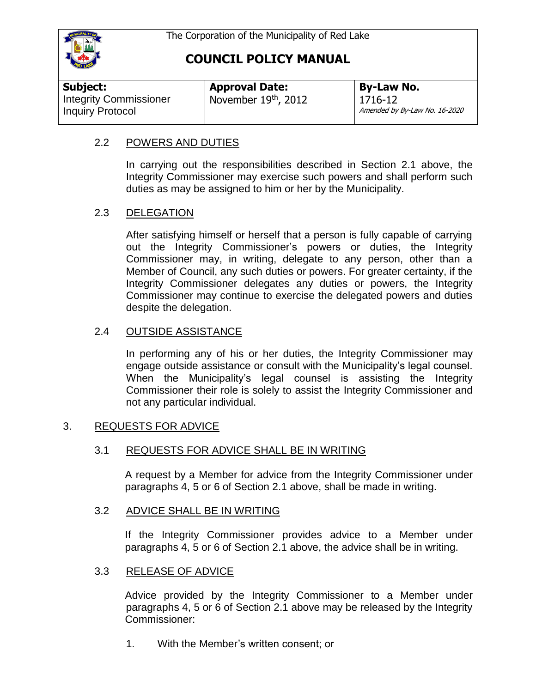

| Subject:                      | <b>Approval Date:</b>  | <b>By-Law No.</b>             |
|-------------------------------|------------------------|-------------------------------|
| <b>Integrity Commissioner</b> | November $19th$ , 2012 | 1716-12                       |
| <b>Inquiry Protocol</b>       |                        | Amended by By-Law No. 16-2020 |

### 2.2 POWERS AND DUTIES

In carrying out the responsibilities described in Section 2.1 above, the Integrity Commissioner may exercise such powers and shall perform such duties as may be assigned to him or her by the Municipality.

### 2.3 DELEGATION

After satisfying himself or herself that a person is fully capable of carrying out the Integrity Commissioner's powers or duties, the Integrity Commissioner may, in writing, delegate to any person, other than a Member of Council, any such duties or powers. For greater certainty, if the Integrity Commissioner delegates any duties or powers, the Integrity Commissioner may continue to exercise the delegated powers and duties despite the delegation.

### 2.4 OUTSIDE ASSISTANCE

In performing any of his or her duties, the Integrity Commissioner may engage outside assistance or consult with the Municipality's legal counsel. When the Municipality's legal counsel is assisting the Integrity Commissioner their role is solely to assist the Integrity Commissioner and not any particular individual.

### 3. REQUESTS FOR ADVICE

### 3.1 REQUESTS FOR ADVICE SHALL BE IN WRITING

A request by a Member for advice from the Integrity Commissioner under paragraphs 4, 5 or 6 of Section 2.1 above, shall be made in writing.

### 3.2 ADVICE SHALL BE IN WRITING

If the Integrity Commissioner provides advice to a Member under paragraphs 4, 5 or 6 of Section 2.1 above, the advice shall be in writing.

### 3.3 RELEASE OF ADVICE

Advice provided by the Integrity Commissioner to a Member under paragraphs 4, 5 or 6 of Section 2.1 above may be released by the Integrity Commissioner:

1. With the Member's written consent; or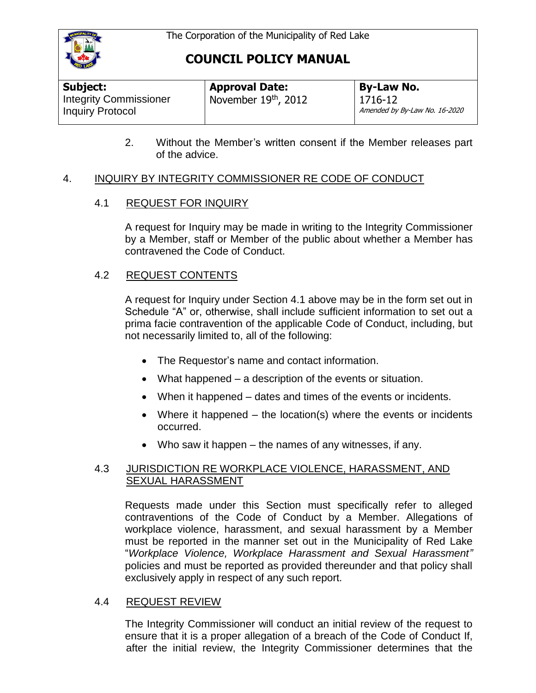

| <b>Subject:</b>                                          | <b>Approval Date:</b> | By-Law No.                               |
|----------------------------------------------------------|-----------------------|------------------------------------------|
| <b>Integrity Commissioner</b><br><b>Inquiry Protocol</b> | November 19th, 2012   | 1716-12<br>Amended by By-Law No. 16-2020 |

2. Without the Member's written consent if the Member releases part of the advice.

### 4. INQUIRY BY INTEGRITY COMMISSIONER RE CODE OF CONDUCT

### 4.1 REQUEST FOR INQUIRY

A request for Inquiry may be made in writing to the Integrity Commissioner by a Member, staff or Member of the public about whether a Member has contravened the Code of Conduct.

### 4.2 REQUEST CONTENTS

A request for Inquiry under Section 4.1 above may be in the form set out in Schedule "A" or, otherwise, shall include sufficient information to set out a prima facie contravention of the applicable Code of Conduct, including, but not necessarily limited to, all of the following:

- The Requestor's name and contact information.
- What happened a description of the events or situation.
- When it happened dates and times of the events or incidents.
- Where it happened the location(s) where the events or incidents occurred.
- Who saw it happen the names of any witnesses, if any.

### 4.3 JURISDICTION RE WORKPLACE VIOLENCE, HARASSMENT, AND SEXUAL HARASSMENT

Requests made under this Section must specifically refer to alleged contraventions of the Code of Conduct by a Member. Allegations of workplace violence, harassment, and sexual harassment by a Member must be reported in the manner set out in the Municipality of Red Lake "*Workplace Violence, Workplace Harassment and Sexual Harassment"* policies and must be reported as provided thereunder and that policy shall exclusively apply in respect of any such report.

### 4.4 REQUEST REVIEW

The Integrity Commissioner will conduct an initial review of the request to ensure that it is a proper allegation of a breach of the Code of Conduct If, after the initial review, the Integrity Commissioner determines that the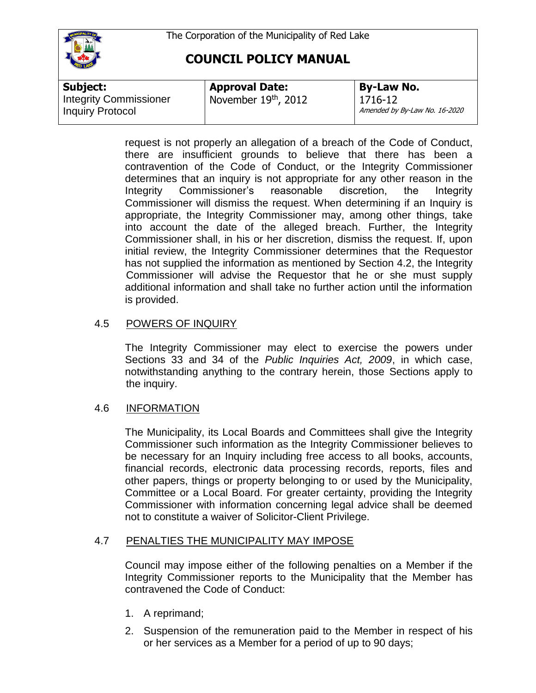

| Subject:                                                 | <b>Approval Date:</b>  | By-Law No.                               |
|----------------------------------------------------------|------------------------|------------------------------------------|
| <b>Integrity Commissioner</b><br><b>Inquiry Protocol</b> | November $19th$ , 2012 | 1716-12<br>Amended by By-Law No. 16-2020 |

request is not properly an allegation of a breach of the Code of Conduct, there are insufficient grounds to believe that there has been a contravention of the Code of Conduct, or the Integrity Commissioner determines that an inquiry is not appropriate for any other reason in the Integrity Commissioner's reasonable discretion, the Integrity Commissioner will dismiss the request. When determining if an Inquiry is appropriate, the Integrity Commissioner may, among other things, take into account the date of the alleged breach. Further, the Integrity Commissioner shall, in his or her discretion, dismiss the request. If, upon initial review, the Integrity Commissioner determines that the Requestor has not supplied the information as mentioned by Section 4.2, the Integrity Commissioner will advise the Requestor that he or she must supply additional information and shall take no further action until the information is provided.

### 4.5 POWERS OF INQUIRY

The Integrity Commissioner may elect to exercise the powers under Sections 33 and 34 of the *Public Inquiries Act, 2009*, in which case, notwithstanding anything to the contrary herein, those Sections apply to the inquiry.

# 4.6 INFORMATION

The Municipality, its Local Boards and Committees shall give the Integrity Commissioner such information as the Integrity Commissioner believes to be necessary for an Inquiry including free access to all books, accounts, financial records, electronic data processing records, reports, files and other papers, things or property belonging to or used by the Municipality, Committee or a Local Board. For greater certainty, providing the Integrity Commissioner with information concerning legal advice shall be deemed not to constitute a waiver of Solicitor-Client Privilege.

### 4.7 PENALTIES THE MUNICIPALITY MAY IMPOSE

Council may impose either of the following penalties on a Member if the Integrity Commissioner reports to the Municipality that the Member has contravened the Code of Conduct:

- 1. A reprimand;
- 2. Suspension of the remuneration paid to the Member in respect of his or her services as a Member for a period of up to 90 days;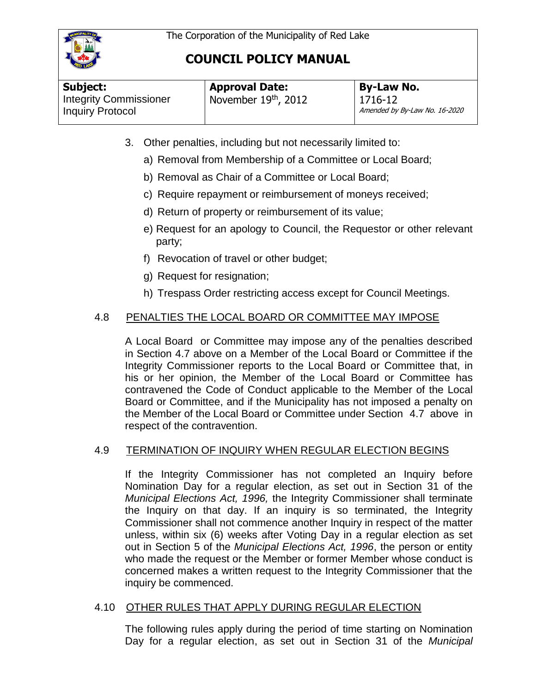

| <b>By-Law No.</b>                                 |
|---------------------------------------------------|
| 1716-12<br>Amended by By-Law No. 16-2020          |
| <b>Approval Date:</b><br>I November $19th$ , 2012 |

- 3. Other penalties, including but not necessarily limited to:
	- a) Removal from Membership of a Committee or Local Board;
	- b) Removal as Chair of a Committee or Local Board;
	- c) Require repayment or reimbursement of moneys received;
	- d) Return of property or reimbursement of its value;
	- e) Request for an apology to Council, the Requestor or other relevant party;
	- f) Revocation of travel or other budget;
	- g) Request for resignation;
	- h) Trespass Order restricting access except for Council Meetings.

# 4.8 PENALTIES THE LOCAL BOARD OR COMMITTEE MAY IMPOSE

A Local Board or Committee may impose any of the penalties described in Section 4.7 above on a Member of the Local Board or Committee if the Integrity Commissioner reports to the Local Board or Committee that, in his or her opinion, the Member of the Local Board or Committee has contravened the Code of Conduct applicable to the Member of the Local Board or Committee, and if the Municipality has not imposed a penalty on the Member of the Local Board or Committee under Section 4.7 above in respect of the contravention.

# 4.9 TERMINATION OF INQUIRY WHEN REGULAR ELECTION BEGINS

If the Integrity Commissioner has not completed an Inquiry before Nomination Day for a regular election, as set out in Section 31 of the *Municipal Elections Act, 1996,* the Integrity Commissioner shall terminate the Inquiry on that day. If an inquiry is so terminated, the Integrity Commissioner shall not commence another Inquiry in respect of the matter unless, within six (6) weeks after Voting Day in a regular election as set out in Section 5 of the *Municipal Elections Act, 1996*, the person or entity who made the request or the Member or former Member whose conduct is concerned makes a written request to the Integrity Commissioner that the inquiry be commenced.

# 4.10 OTHER RULES THAT APPLY DURING REGULAR ELECTION

The following rules apply during the period of time starting on Nomination Day for a regular election, as set out in Section 31 of the *Municipal*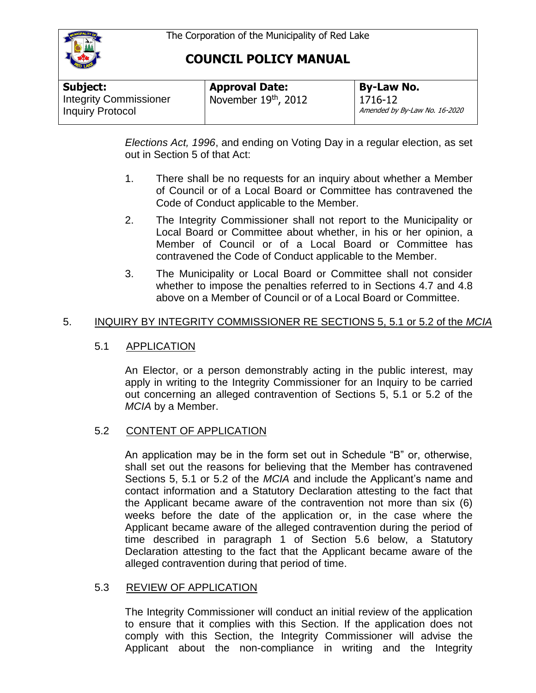

| Subject:                                                 | <b>Approval Date:</b>  | <b>By-Law No.</b>                        |
|----------------------------------------------------------|------------------------|------------------------------------------|
| <b>Integrity Commissioner</b><br><b>Inquiry Protocol</b> | November $19th$ , 2012 | 1716-12<br>Amended by By-Law No. 16-2020 |

*Elections Act, 1996*, and ending on Voting Day in a regular election, as set out in Section 5 of that Act:

- 1. There shall be no requests for an inquiry about whether a Member of Council or of a Local Board or Committee has contravened the Code of Conduct applicable to the Member.
- 2. The Integrity Commissioner shall not report to the Municipality or Local Board or Committee about whether, in his or her opinion, a Member of Council or of a Local Board or Committee has contravened the Code of Conduct applicable to the Member.
- 3. The Municipality or Local Board or Committee shall not consider whether to impose the penalties referred to in Sections 4.7 and 4.8 above on a Member of Council or of a Local Board or Committee.

### 5. INQUIRY BY INTEGRITY COMMISSIONER RE SECTIONS 5, 5.1 or 5.2 of the *MCIA*

### 5.1 APPLICATION

An Elector, or a person demonstrably acting in the public interest, may apply in writing to the Integrity Commissioner for an Inquiry to be carried out concerning an alleged contravention of Sections 5, 5.1 or 5.2 of the *MCIA* by a Member.

### 5.2 CONTENT OF APPLICATION

An application may be in the form set out in Schedule "B" or, otherwise, shall set out the reasons for believing that the Member has contravened Sections 5, 5.1 or 5.2 of the *MCIA* and include the Applicant's name and contact information and a Statutory Declaration attesting to the fact that the Applicant became aware of the contravention not more than six (6) weeks before the date of the application or, in the case where the Applicant became aware of the alleged contravention during the period of time described in paragraph 1 of Section 5.6 below, a Statutory Declaration attesting to the fact that the Applicant became aware of the alleged contravention during that period of time.

### 5.3 REVIEW OF APPLICATION

The Integrity Commissioner will conduct an initial review of the application to ensure that it complies with this Section. If the application does not comply with this Section, the Integrity Commissioner will advise the Applicant about the non-compliance in writing and the Integrity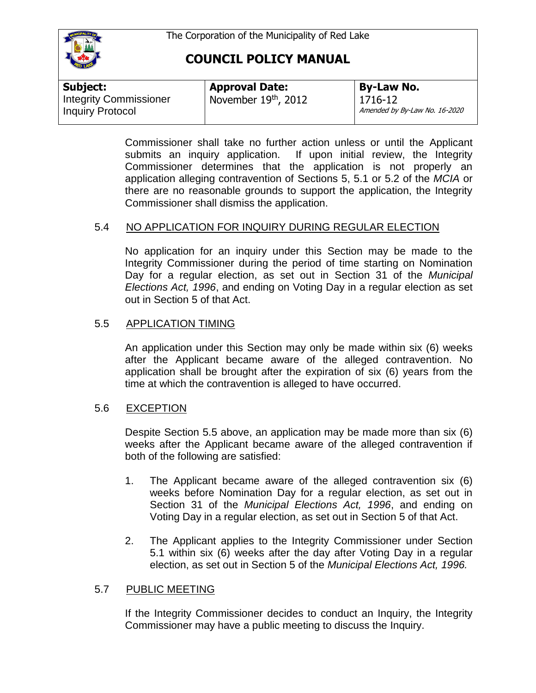

| Subject:                                                 | <b>Approval Date:</b>  | <b>By-Law No.</b>                        |
|----------------------------------------------------------|------------------------|------------------------------------------|
| <b>Integrity Commissioner</b><br><b>Inquiry Protocol</b> | November $19th$ , 2012 | 1716-12<br>Amended by By-Law No. 16-2020 |

Commissioner shall take no further action unless or until the Applicant submits an inquiry application. If upon initial review, the Integrity Commissioner determines that the application is not properly an application alleging contravention of Sections 5, 5.1 or 5.2 of the *MCIA* or there are no reasonable grounds to support the application, the Integrity Commissioner shall dismiss the application.

# 5.4 NO APPLICATION FOR INQUIRY DURING REGULAR ELECTION

No application for an inquiry under this Section may be made to the Integrity Commissioner during the period of time starting on Nomination Day for a regular election, as set out in Section 31 of the *Municipal Elections Act, 1996*, and ending on Voting Day in a regular election as set out in Section 5 of that Act.

# 5.5 APPLICATION TIMING

An application under this Section may only be made within six (6) weeks after the Applicant became aware of the alleged contravention. No application shall be brought after the expiration of six (6) years from the time at which the contravention is alleged to have occurred.

# 5.6 EXCEPTION

Despite Section 5.5 above, an application may be made more than six (6) weeks after the Applicant became aware of the alleged contravention if both of the following are satisfied:

- 1. The Applicant became aware of the alleged contravention six (6) weeks before Nomination Day for a regular election, as set out in Section 31 of the *Municipal Elections Act, 1996*, and ending on Voting Day in a regular election, as set out in Section 5 of that Act.
- 2. The Applicant applies to the Integrity Commissioner under Section 5.1 within six (6) weeks after the day after Voting Day in a regular election, as set out in Section 5 of the *Municipal Elections Act, 1996.*

### 5.7 PUBLIC MEETING

If the Integrity Commissioner decides to conduct an Inquiry, the Integrity Commissioner may have a public meeting to discuss the Inquiry.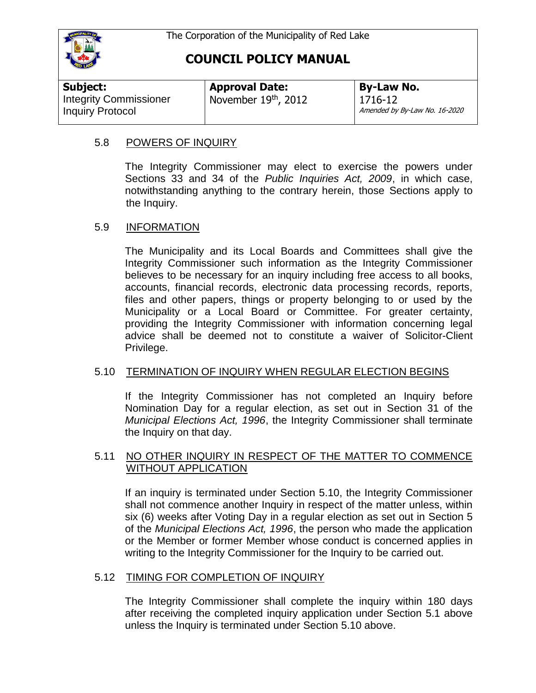

| Subject:                      | <b>Approval Date:</b>  | <b>By-Law No.</b>                        |
|-------------------------------|------------------------|------------------------------------------|
| <b>Integrity Commissioner</b> | November $19th$ , 2012 | 1716-12<br>Amended by By-Law No. 16-2020 |
| <b>Inquiry Protocol</b>       |                        |                                          |

### 5.8 POWERS OF INQUIRY

The Integrity Commissioner may elect to exercise the powers under Sections 33 and 34 of the *Public Inquiries Act, 2009*, in which case, notwithstanding anything to the contrary herein, those Sections apply to the Inquiry.

### 5.9 INFORMATION

The Municipality and its Local Boards and Committees shall give the Integrity Commissioner such information as the Integrity Commissioner believes to be necessary for an inquiry including free access to all books, accounts, financial records, electronic data processing records, reports, files and other papers, things or property belonging to or used by the Municipality or a Local Board or Committee. For greater certainty, providing the Integrity Commissioner with information concerning legal advice shall be deemed not to constitute a waiver of Solicitor-Client Privilege.

### 5.10 TERMINATION OF INQUIRY WHEN REGULAR ELECTION BEGINS

If the Integrity Commissioner has not completed an Inquiry before Nomination Day for a regular election, as set out in Section 31 of the *Municipal Elections Act, 1996*, the Integrity Commissioner shall terminate the Inquiry on that day.

#### 5.11 NO OTHER INQUIRY IN RESPECT OF THE MATTER TO COMMENCE WITHOUT APPLICATION

If an inquiry is terminated under Section 5.10, the Integrity Commissioner shall not commence another Inquiry in respect of the matter unless, within six (6) weeks after Voting Day in a regular election as set out in Section 5 of the *Municipal Elections Act, 1996*, the person who made the application or the Member or former Member whose conduct is concerned applies in writing to the Integrity Commissioner for the Inquiry to be carried out.

### 5.12 TIMING FOR COMPLETION OF INQUIRY

The Integrity Commissioner shall complete the inquiry within 180 days after receiving the completed inquiry application under Section 5.1 above unless the Inquiry is terminated under Section 5.10 above.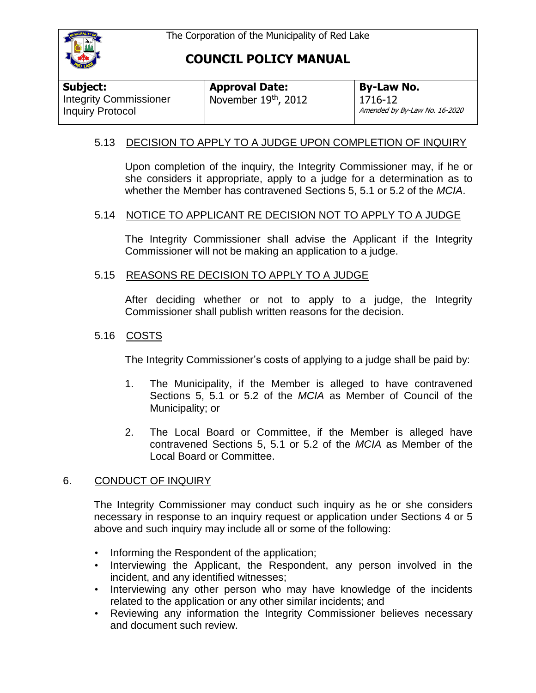

| Subject:                                                 | <b>Approval Date:</b> | <b>By-Law No.</b>                            |
|----------------------------------------------------------|-----------------------|----------------------------------------------|
| <b>Integrity Commissioner</b><br><b>Inquiry Protocol</b> | November 19th, 2012   | $1716 - 12$<br>Amended by By-Law No. 16-2020 |

### 5.13 DECISION TO APPLY TO A JUDGE UPON COMPLETION OF INQUIRY

Upon completion of the inquiry, the Integrity Commissioner may, if he or she considers it appropriate, apply to a judge for a determination as to whether the Member has contravened Sections 5, 5.1 or 5.2 of the *MCIA*.

### 5.14 NOTICE TO APPLICANT RE DECISION NOT TO APPLY TO A JUDGE

The Integrity Commissioner shall advise the Applicant if the Integrity Commissioner will not be making an application to a judge.

#### 5.15 REASONS RE DECISION TO APPLY TO A JUDGE

After deciding whether or not to apply to a judge, the Integrity Commissioner shall publish written reasons for the decision.

### 5.16 COSTS

The Integrity Commissioner's costs of applying to a judge shall be paid by:

- 1. The Municipality, if the Member is alleged to have contravened Sections 5, 5.1 or 5.2 of the *MCIA* as Member of Council of the Municipality; or
- 2. The Local Board or Committee, if the Member is alleged have contravened Sections 5, 5.1 or 5.2 of the *MCIA* as Member of the Local Board or Committee.

### 6. CONDUCT OF INQUIRY

The Integrity Commissioner may conduct such inquiry as he or she considers necessary in response to an inquiry request or application under Sections 4 or 5 above and such inquiry may include all or some of the following:

- Informing the Respondent of the application;
- Interviewing the Applicant, the Respondent, any person involved in the incident, and any identified witnesses;
- Interviewing any other person who may have knowledge of the incidents related to the application or any other similar incidents; and
- Reviewing any information the Integrity Commissioner believes necessary and document such review.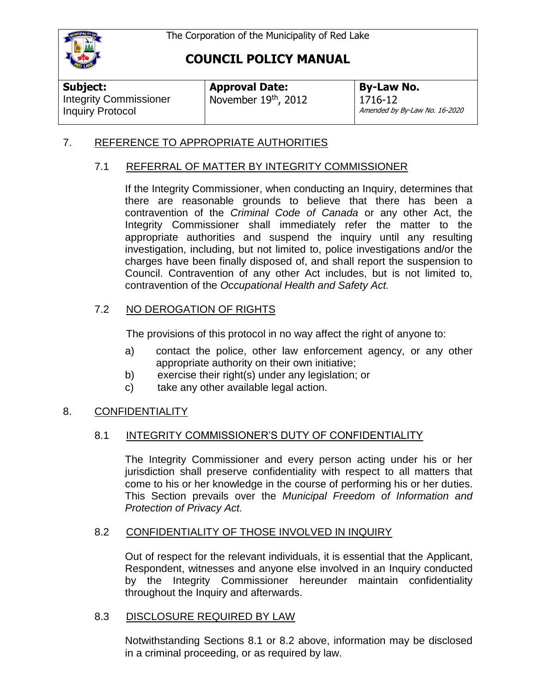

| Subject:                                          | <b>Approval Date:</b> | <b>By-Law No.</b>                        |
|---------------------------------------------------|-----------------------|------------------------------------------|
| <b>Integrity Commissioner</b><br>Inquiry Protocol | November 19th, 2012   | 1716-12<br>Amended by By-Law No. 16-2020 |

### 7. REFERENCE TO APPROPRIATE AUTHORITIES

### 7.1 REFERRAL OF MATTER BY INTEGRITY COMMISSIONER

If the Integrity Commissioner, when conducting an Inquiry, determines that there are reasonable grounds to believe that there has been a contravention of the *Criminal Code of Canada* or any other Act, the Integrity Commissioner shall immediately refer the matter to the appropriate authorities and suspend the inquiry until any resulting investigation, including, but not limited to, police investigations and/or the charges have been finally disposed of, and shall report the suspension to Council. Contravention of any other Act includes, but is not limited to, contravention of the *Occupational Health and Safety Act.* 

# 7.2 NO DEROGATION OF RIGHTS

The provisions of this protocol in no way affect the right of anyone to:

- a) contact the police, other law enforcement agency, or any other appropriate authority on their own initiative;
- b) exercise their right(s) under any legislation; or
- c) take any other available legal action.

# 8. CONFIDENTIALITY

### 8.1 INTEGRITY COMMISSIONER'S DUTY OF CONFIDENTIALITY

The Integrity Commissioner and every person acting under his or her jurisdiction shall preserve confidentiality with respect to all matters that come to his or her knowledge in the course of performing his or her duties. This Section prevails over the *Municipal Freedom of Information and Protection of Privacy Act.*

### 8.2 CONFIDENTIALITY OF THOSE INVOLVED IN INQUIRY

Out of respect for the relevant individuals, it is essential that the Applicant, Respondent, witnesses and anyone else involved in an Inquiry conducted by the Integrity Commissioner hereunder maintain confidentiality throughout the Inquiry and afterwards.

### 8.3 DISCLOSURE REQUIRED BY LAW

Notwithstanding Sections 8.1 or 8.2 above, information may be disclosed in a criminal proceeding, or as required by law.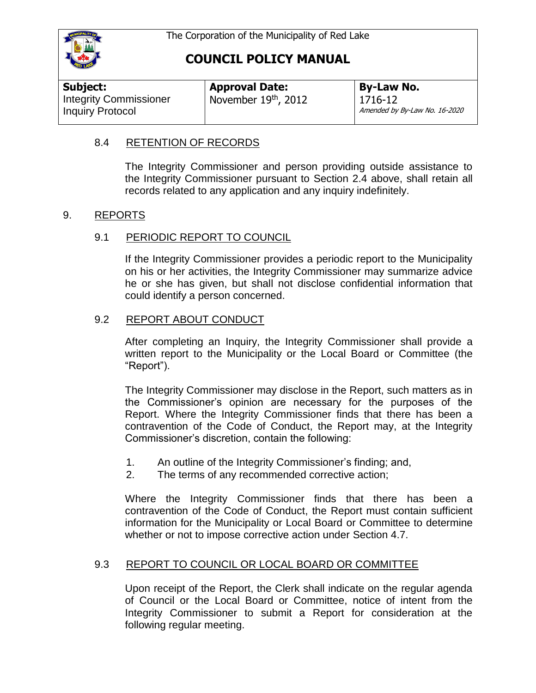

| Subject:                                                 | <b>Approval Date:</b> | <b>By-Law No.</b>                        |
|----------------------------------------------------------|-----------------------|------------------------------------------|
| <b>Integrity Commissioner</b><br><b>Inquiry Protocol</b> | November 19th, 2012   | 1716-12<br>Amended by By-Law No. 16-2020 |

### 8.4 RETENTION OF RECORDS

The Integrity Commissioner and person providing outside assistance to the Integrity Commissioner pursuant to Section 2.4 above, shall retain all records related to any application and any inquiry indefinitely.

### 9. REPORTS

### 9.1 PERIODIC REPORT TO COUNCIL

If the Integrity Commissioner provides a periodic report to the Municipality on his or her activities, the Integrity Commissioner may summarize advice he or she has given, but shall not disclose confidential information that could identify a person concerned.

### 9.2 REPORT ABOUT CONDUCT

After completing an Inquiry, the Integrity Commissioner shall provide a written report to the Municipality or the Local Board or Committee (the "Report").

The Integrity Commissioner may disclose in the Report, such matters as in the Commissioner's opinion are necessary for the purposes of the Report. Where the Integrity Commissioner finds that there has been a contravention of the Code of Conduct, the Report may, at the Integrity Commissioner's discretion, contain the following:

- 1. An outline of the Integrity Commissioner's finding; and,
- 2. The terms of any recommended corrective action;

Where the Integrity Commissioner finds that there has been a contravention of the Code of Conduct, the Report must contain sufficient information for the Municipality or Local Board or Committee to determine whether or not to impose corrective action under Section 4.7.

### 9.3 REPORT TO COUNCIL OR LOCAL BOARD OR COMMITTEE

Upon receipt of the Report, the Clerk shall indicate on the regular agenda of Council or the Local Board or Committee, notice of intent from the Integrity Commissioner to submit a Report for consideration at the following regular meeting.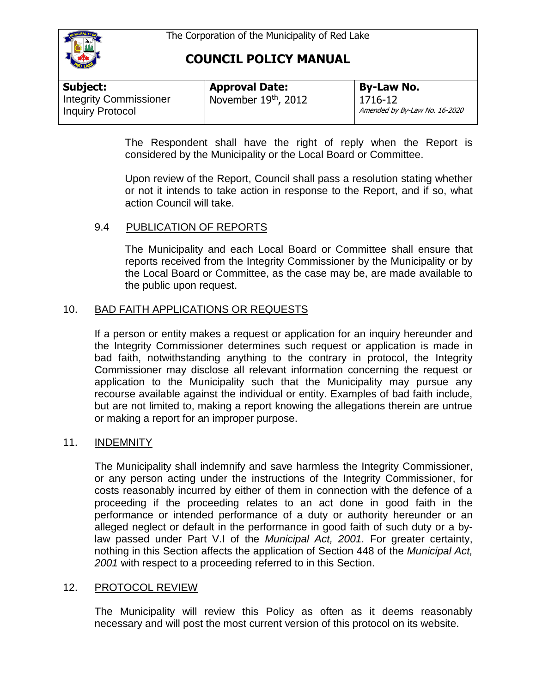

| Subject:                      | <b>Approval Date:</b>                          | <b>By-Law No.</b>             |
|-------------------------------|------------------------------------------------|-------------------------------|
| <b>Integrity Commissioner</b> | $\frac{1}{2}$ November 19 <sup>th</sup> , 2012 | 1716-12                       |
| <b>Inquiry Protocol</b>       |                                                | Amended by By-Law No. 16-2020 |

The Respondent shall have the right of reply when the Report is considered by the Municipality or the Local Board or Committee.

Upon review of the Report, Council shall pass a resolution stating whether or not it intends to take action in response to the Report, and if so, what action Council will take.

# 9.4 PUBLICATION OF REPORTS

The Municipality and each Local Board or Committee shall ensure that reports received from the Integrity Commissioner by the Municipality or by the Local Board or Committee, as the case may be, are made available to the public upon request.

### 10. BAD FAITH APPLICATIONS OR REQUESTS

If a person or entity makes a request or application for an inquiry hereunder and the Integrity Commissioner determines such request or application is made in bad faith, notwithstanding anything to the contrary in protocol, the Integrity Commissioner may disclose all relevant information concerning the request or application to the Municipality such that the Municipality may pursue any recourse available against the individual or entity. Examples of bad faith include, but are not limited to, making a report knowing the allegations therein are untrue or making a report for an improper purpose.

### 11. INDEMNITY

The Municipality shall indemnify and save harmless the Integrity Commissioner, or any person acting under the instructions of the Integrity Commissioner, for costs reasonably incurred by either of them in connection with the defence of a proceeding if the proceeding relates to an act done in good faith in the performance or intended performance of a duty or authority hereunder or an alleged neglect or default in the performance in good faith of such duty or a bylaw passed under Part V.I of the *Municipal Act, 2001.* For greater certainty, nothing in this Section affects the application of Section 448 of the *Municipal Act, 2001* with respect to a proceeding referred to in this Section.

### 12. PROTOCOL REVIEW

The Municipality will review this Policy as often as it deems reasonably necessary and will post the most current version of this protocol on its website.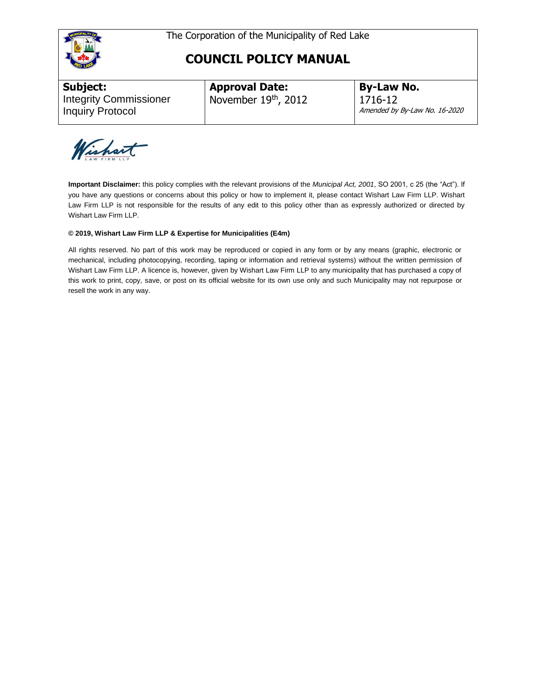



**Subject:**  Integrity Commissioner Inquiry Protocol

**Approval Date:** November 19th, 2012 **By-Law No.** 1716-12 Amended by By-Law No. 16-2020

Wishart

**Important Disclaimer:** this policy complies with the relevant provisions of the *Municipal Act, 2001*, SO 2001, c 25 (the "Act"). If you have any questions or concerns about this policy or how to implement it, please contact Wishart Law Firm LLP. Wishart Law Firm LLP is not responsible for the results of any edit to this policy other than as expressly authorized or directed by Wishart Law Firm LLP.

#### **© 2019, Wishart Law Firm LLP & Expertise for Municipalities (E4m)**

All rights reserved. No part of this work may be reproduced or copied in any form or by any means (graphic, electronic or mechanical, including photocopying, recording, taping or information and retrieval systems) without the written permission of Wishart Law Firm LLP. A licence is, however, given by Wishart Law Firm LLP to any municipality that has purchased a copy of this work to print, copy, save, or post on its official website for its own use only and such Municipality may not repurpose or resell the work in any way.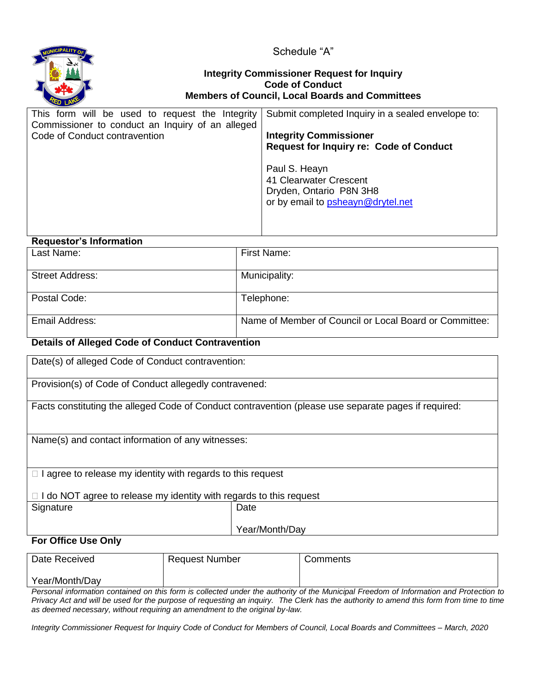

Schedule "A"

#### **Integrity Commissioner Request for Inquiry Code of Conduct Members of Council, Local Boards and Committees**

| This form will be used to request the Integrity  | Submit completed Inquiry in a sealed envelope to: |
|--------------------------------------------------|---------------------------------------------------|
| Commissioner to conduct an Inquiry of an alleged |                                                   |
| Code of Conduct contravention                    | <b>Integrity Commissioner</b>                     |
|                                                  | <b>Request for Inquiry re: Code of Conduct</b>    |
|                                                  |                                                   |
|                                                  | Paul S. Heayn                                     |
|                                                  | 41 Clearwater Crescent                            |
|                                                  | Dryden, Ontario P8N 3H8                           |
|                                                  | or by email to psheayn@drytel.net                 |
|                                                  |                                                   |
|                                                  |                                                   |
|                                                  |                                                   |

#### **Requestor's Information**

| Last Name:             | First Name:                                            |
|------------------------|--------------------------------------------------------|
| <b>Street Address:</b> | Municipality:                                          |
| Postal Code:           | Telephone:                                             |
| Email Address:         | Name of Member of Council or Local Board or Committee: |

#### **Details of Alleged Code of Conduct Contravention**

Date(s) of alleged Code of Conduct contravention:

Provision(s) of Code of Conduct allegedly contravened:

Facts constituting the alleged Code of Conduct contravention (please use separate pages if required:

Name(s) and contact information of any witnesses:

 $\Box$  I agree to release my identity with regards to this request

 $\Box$  I do NOT agree to release my identity with regards to this request

| Signature | Date |
|-----------|------|
|           |      |

Year/Month/Day

### **For Office Use Only**

| Date Received  | <b>Request Number</b> | Comments |
|----------------|-----------------------|----------|
| Year/Month/Day |                       |          |

*Personal information contained on this form is collected under the authority of the Municipal Freedom of Information and Protection to Privacy Act and will be used for the purpose of requesting an inquiry. The Clerk has the authority to amend this form from time to time as deemed necessary, without requiring an amendment to the original by-law.* 

*Integrity Commissioner Request for Inquiry Code of Conduct for Members of Council, Local Boards and Committees – March, 2020*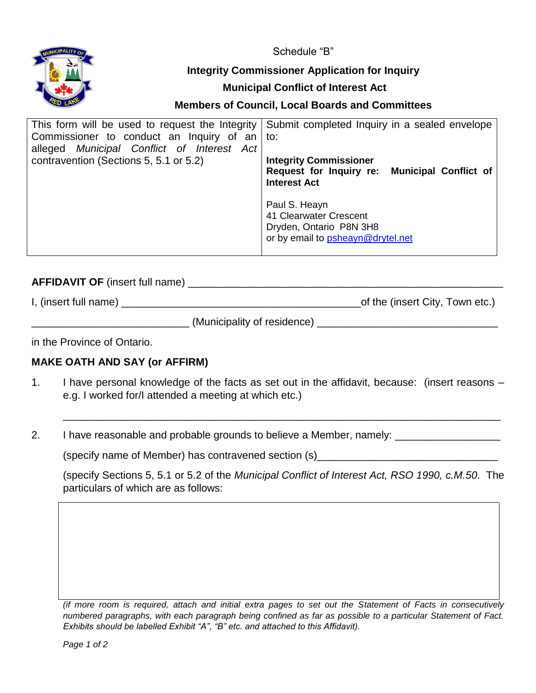Schedule "B"



# **Integrity Commissioner Application for Inquiry**

### **Municipal Conflict of Interest Act**

# **Members of Council, Local Boards and Committees**

| This form will be used to request the Integrity | Submit completed Inquiry in a sealed envelope    |
|-------------------------------------------------|--------------------------------------------------|
| Commissioner to conduct an Inquiry of an        | to:                                              |
| alleged Municipal Conflict of Interest Act      |                                                  |
| contravention (Sections 5, 5.1 or 5.2)          | <b>Integrity Commissioner</b>                    |
|                                                 | Municipal Conflict of<br>Request for Inquiry re: |
|                                                 | <b>Interest Act</b>                              |
|                                                 |                                                  |
|                                                 | Paul S. Heayn                                    |
|                                                 | 41 Clearwater Crescent                           |
|                                                 | Dryden, Ontario P8N 3H8                          |
|                                                 | or by email to psheayn@drytel.net                |
|                                                 |                                                  |

# **AFFIDAVIT OF** (insert full name) \_\_\_\_\_\_\_\_\_\_\_\_\_\_\_\_\_\_\_\_\_\_\_\_\_\_\_\_\_\_\_\_\_\_\_\_\_\_\_\_\_\_\_\_\_\_\_\_\_\_\_\_\_\_

| I, (insert full name) | of the (insert City, Town etc.) |
|-----------------------|---------------------------------|
|-----------------------|---------------------------------|

\_\_\_\_\_\_\_\_\_\_\_\_\_\_\_\_\_\_\_\_\_\_\_\_\_\_\_ (Municipality of residence) \_\_\_\_\_\_\_\_\_\_\_\_\_\_\_\_\_\_\_\_\_\_\_\_\_\_\_\_\_\_\_

in the Province of Ontario.

# **MAKE OATH AND SAY (or AFFIRM)**

- 1. I have personal knowledge of the facts as set out in the affidavit, because: (insert reasons e.g. I worked for/I attended a meeting at which etc.)
- 2. I have reasonable and probable grounds to believe a Member, namely: \_\_\_\_\_\_\_\_\_\_\_\_\_\_\_

(specify name of Member) has contravened section  $(s)$  [20]  $\frac{1}{s}$  [30]  $\frac{1}{s}$  [30]  $\frac{1}{s}$  [30]  $\frac{1}{s}$  [30]  $\frac{1}{s}$  [30]  $\frac{1}{s}$  [30]  $\frac{1}{s}$  [30]  $\frac{1}{s}$  [30]  $\frac{1}{s}$  [30]  $\frac{1}{s}$  [30]  $\frac{1}{s}$  [3

(specify Sections 5, 5.1 or 5.2 of the *Municipal Conflict of Interest Act, RSO 1990, c.M.50*. The particulars of which are as follows:

\_\_\_\_\_\_\_\_\_\_\_\_\_\_\_\_\_\_\_\_\_\_\_\_\_\_\_\_\_\_\_\_\_\_\_\_\_\_\_\_\_\_\_\_\_\_\_\_\_\_\_\_\_\_\_\_\_\_\_\_\_\_\_\_\_\_\_\_\_\_\_\_\_\_\_

*<sup>(</sup>if more room is required, attach and initial extra pages to set out the Statement of Facts in consecutively numbered paragraphs, with each paragraph being confined as far as possible to a particular Statement of Fact. Exhibits should be labelled Exhibit "A", "B" etc. and attached to this Affidavit).*